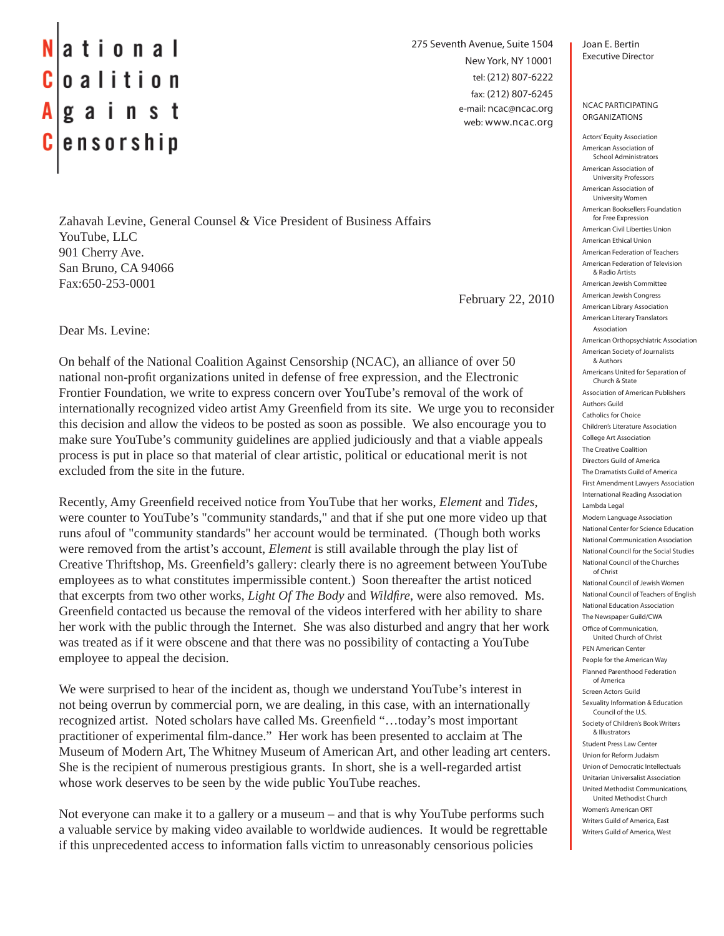## ational  $|o a$  lition  $|g a|$  in st  $|e$ nsorship

Zahavah Levine, General Counsel & Vice President of Business Affairs YouTube, LLC 901 Cherry Ave. San Bruno, CA 94066 Fax:650-253-0001

February 22, 2010

275 Seventh Avenue, Suite 1504

New York, NY 10001 tel: (212) 807-6222 fax: (212) 807-6245 e-mail: ncac@ncac.org web: www.ncac.org

Dear Ms. Levine:

On behalf of the National Coalition Against Censorship (NCAC), an alliance of over 50 national non-profit organizations united in defense of free expression, and the Electronic Frontier Foundation, we write to express concern over YouTube's removal of the work of internationally recognized video artist Amy Greenfield from its site. We urge you to reconsider this decision and allow the videos to be posted as soon as possible. We also encourage you to make sure YouTube's community guidelines are applied judiciously and that a viable appeals process is put in place so that material of clear artistic, political or educational merit is not excluded from the site in the future.

Recently, Amy Greenfield received notice from YouTube that her works, *Element* and *Tides*, were counter to YouTube's "community standards," and that if she put one more video up that runs afoul of "community standards" her account would be terminated. (Though both works were removed from the artist's account, *Element* is still available through the play list of Creative Thriftshop, Ms. Greenfield's gallery: clearly there is no agreement between YouTube employees as to what constitutes impermissible content.) Soon thereafter the artist noticed that excerpts from two other works, *Light Of The Body* and *Wildfi re*, were also removed. Ms. Greenfield contacted us because the removal of the videos interfered with her ability to share her work with the public through the Internet. She was also disturbed and angry that her work was treated as if it were obscene and that there was no possibility of contacting a YouTube employee to appeal the decision.

We were surprised to hear of the incident as, though we understand YouTube's interest in not being overrun by commercial porn, we are dealing, in this case, with an internationally recognized artist. Noted scholars have called Ms. Greenfield "...today's most important practitioner of experimental film-dance." Her work has been presented to acclaim at The Museum of Modern Art, The Whitney Museum of American Art, and other leading art centers. She is the recipient of numerous prestigious grants. In short, she is a well-regarded artist whose work deserves to be seen by the wide public YouTube reaches.

Not everyone can make it to a gallery or a museum – and that is why YouTube performs such a valuable service by making video available to worldwide audiences. It would be regrettable if this unprecedented access to information falls victim to unreasonably censorious policies

Joan E. Bertin Executive Director

NCAC PARTICIPATING ORGANIZATIONS

Actors' Equity Association American Association of School Administrators American Association of University Professors American Association of University Women American Booksellers Foundation for Free Expression American Civil Liberties Union American Ethical Union American Federation of Teachers American Federation of Television & Radio Artists American Jewish Committee American Jewish Congress American Library Association American Literary Translators Association American Orthopsychiatric Association American Society of Journalists & Authors Americans United for Separation of Church & State Association of American Publishers Authors Guild Catholics for Choice Children's Literature Association College Art Association The Creative Coalition Directors Guild of America The Dramatists Guild of America First Amendment Lawyers Association International Reading Association Lambda Legal Modern Language Association National Center for Science Education National Communication Association National Council for the Social Studies National Council of the Churches of Christ National Council of Jewish Women National Council of Teachers of English National Education Association The Newspaper Guild/CWA Office of Communication United Church of Christ PEN American Center People for the American Way Planned Parenthood Federation of America Screen Actors Guild Sexuality Information & Education Council of the U.S. Society of Children's Book Writers & Illustrators Student Press Law Center Union for Reform Judaism Union of Democratic Intellectuals Unitarian Universalist Association United Methodist Communications, United Methodist Church Women's American ORT Writers Guild of America, East Writers Guild of America, West